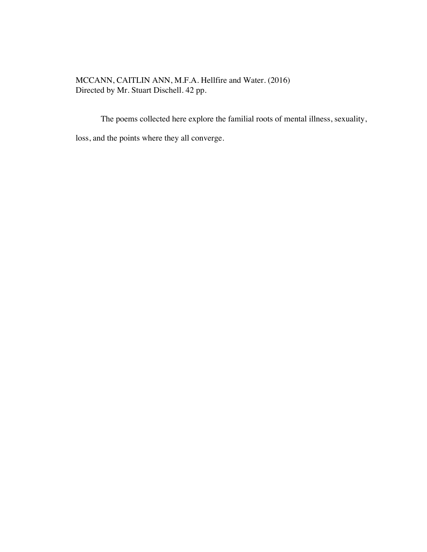MCCANN, CAITLIN ANN, M.F.A. Hellfire and Water. (2016) Directed by Mr. Stuart Dischell. 42 pp.

The poems collected here explore the familial roots of mental illness, sexuality,

loss, and the points where they all converge.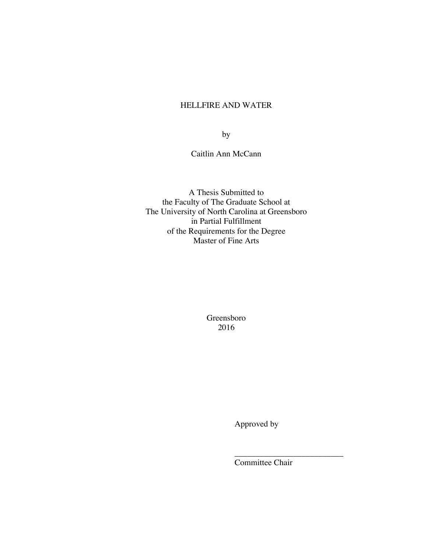## HELLFIRE AND WATER

by

Caitlin Ann McCann

A Thesis Submitted to the Faculty of The Graduate School at The University of North Carolina at Greensboro in Partial Fulfillment of the Requirements for the Degree Master of Fine Arts

> Greensboro 2016

> > Approved by

Committee Chair

 $\frac{1}{\sqrt{2}}$  ,  $\frac{1}{\sqrt{2}}$  ,  $\frac{1}{\sqrt{2}}$  ,  $\frac{1}{\sqrt{2}}$  ,  $\frac{1}{\sqrt{2}}$  ,  $\frac{1}{\sqrt{2}}$  ,  $\frac{1}{\sqrt{2}}$  ,  $\frac{1}{\sqrt{2}}$  ,  $\frac{1}{\sqrt{2}}$  ,  $\frac{1}{\sqrt{2}}$  ,  $\frac{1}{\sqrt{2}}$  ,  $\frac{1}{\sqrt{2}}$  ,  $\frac{1}{\sqrt{2}}$  ,  $\frac{1}{\sqrt{2}}$  ,  $\frac{1}{\sqrt{2}}$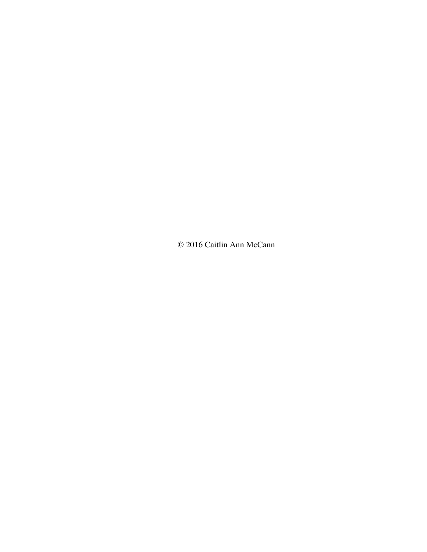© 2016 Caitlin Ann McCann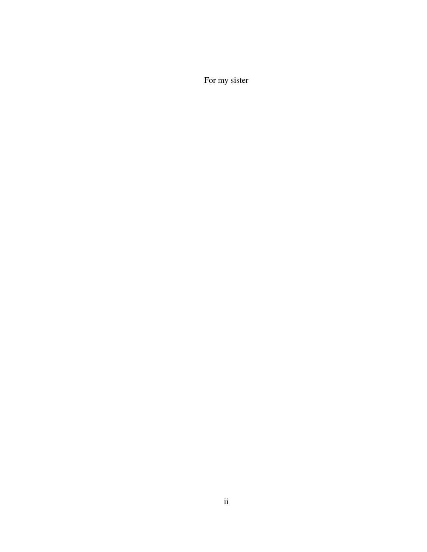For my sister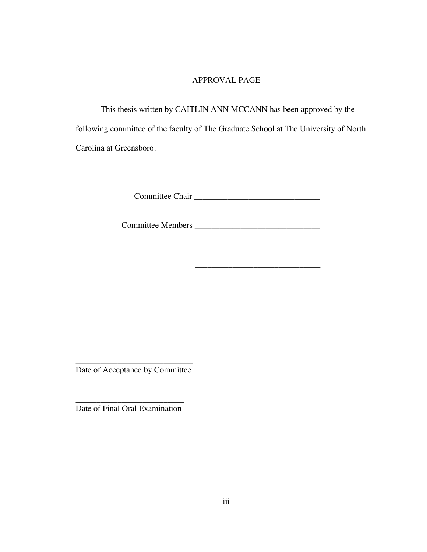## APPROVAL PAGE

This thesis written by CAITLIN ANN MCCANN has been approved by the following committee of the faculty of The Graduate School at The University of North Carolina at Greensboro.

Committee Chair \_\_\_\_\_\_\_\_\_\_\_\_\_\_\_\_\_\_\_\_\_\_\_\_\_\_\_\_\_\_

\_\_\_\_\_\_\_\_\_\_\_\_\_\_\_\_\_\_\_\_\_\_\_\_\_\_\_\_\_\_

\_\_\_\_\_\_\_\_\_\_\_\_\_\_\_\_\_\_\_\_\_\_\_\_\_\_\_\_\_\_

Committee Members \_\_\_\_\_\_\_\_\_\_\_\_\_\_\_\_\_\_\_\_\_\_\_\_\_\_\_\_\_\_

\_\_\_\_\_\_\_\_\_\_\_\_\_\_\_\_\_\_\_\_\_\_\_\_\_\_\_\_ Date of Acceptance by Committee

\_\_\_\_\_\_\_\_\_\_\_\_\_\_\_\_\_\_\_\_\_\_\_\_\_\_ Date of Final Oral Examination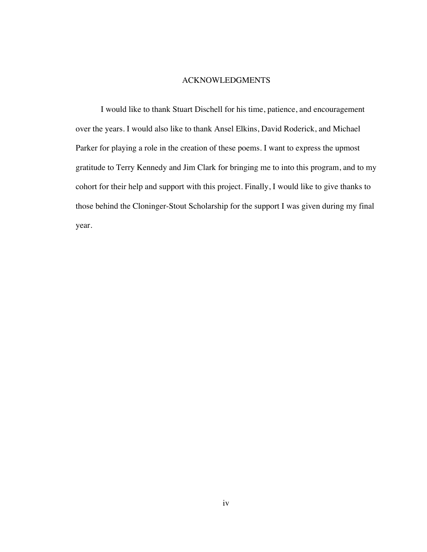### ACKNOWLEDGMENTS

I would like to thank Stuart Dischell for his time, patience, and encouragement over the years. I would also like to thank Ansel Elkins, David Roderick, and Michael Parker for playing a role in the creation of these poems. I want to express the upmost gratitude to Terry Kennedy and Jim Clark for bringing me to into this program, and to my cohort for their help and support with this project. Finally, I would like to give thanks to those behind the Cloninger-Stout Scholarship for the support I was given during my final year.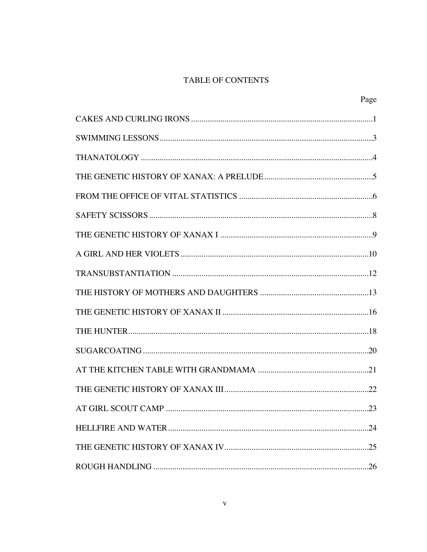# TABLE OF CONTENTS

| Page |
|------|
|      |
|      |
|      |
|      |
|      |
|      |
|      |
|      |
|      |
|      |
|      |
|      |
|      |
|      |
|      |
| .23  |
|      |
|      |
|      |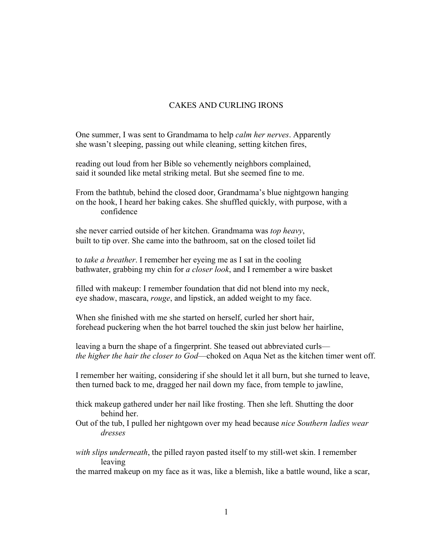## CAKES AND CURLING IRONS

One summer, I was sent to Grandmama to help *calm her nerves*. Apparently she wasn't sleeping, passing out while cleaning, setting kitchen fires,

reading out loud from her Bible so vehemently neighbors complained, said it sounded like metal striking metal. But she seemed fine to me.

From the bathtub, behind the closed door, Grandmama's blue nightgown hanging on the hook, I heard her baking cakes. She shuffled quickly, with purpose, with a confidence

she never carried outside of her kitchen. Grandmama was *top heavy*, built to tip over. She came into the bathroom, sat on the closed toilet lid

to *take a breather*. I remember her eyeing me as I sat in the cooling bathwater, grabbing my chin for *a closer look*, and I remember a wire basket

filled with makeup: I remember foundation that did not blend into my neck, eye shadow, mascara, *rouge*, and lipstick, an added weight to my face.

When she finished with me she started on herself, curled her short hair, forehead puckering when the hot barrel touched the skin just below her hairline,

leaving a burn the shape of a fingerprint. She teased out abbreviated curls *the higher the hair the closer to God*—choked on Aqua Net as the kitchen timer went off.

I remember her waiting, considering if she should let it all burn, but she turned to leave, then turned back to me, dragged her nail down my face, from temple to jawline,

- thick makeup gathered under her nail like frosting. Then she left. Shutting the door behind her.
- Out of the tub, I pulled her nightgown over my head because *nice Southern ladies wear dresses*
- *with slips underneath*, the pilled rayon pasted itself to my still-wet skin. I remember leaving

the marred makeup on my face as it was, like a blemish, like a battle wound, like a scar,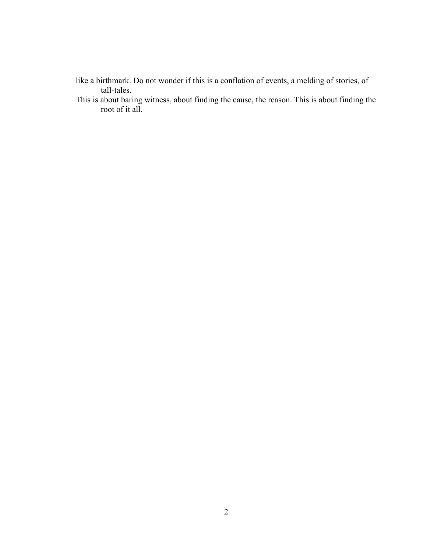- like a birthmark. Do not wonder if this is a conflation of events, a melding of stories, of tall-tales.
- This is about baring witness, about finding the cause, the reason. This is about finding the root of it all.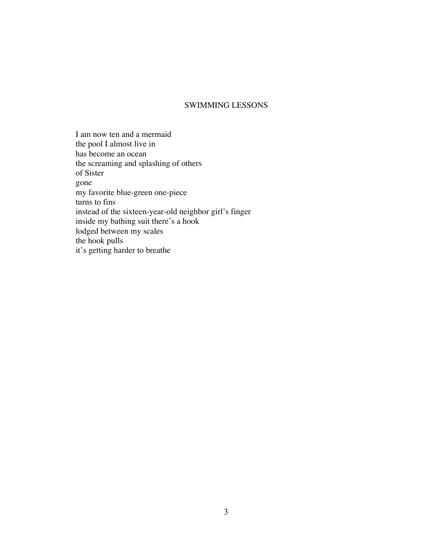### SWIMMING LESSONS

I am now ten and a mermaid the pool I almost live in has become an ocean the screaming and splashing of others of Sister gone my favorite blue-green one-piece turns to fins instead of the sixteen-year-old neighbor girl's finger inside my bathing suit there's a hook lodged between my scales the hook pulls it's getting harder to breathe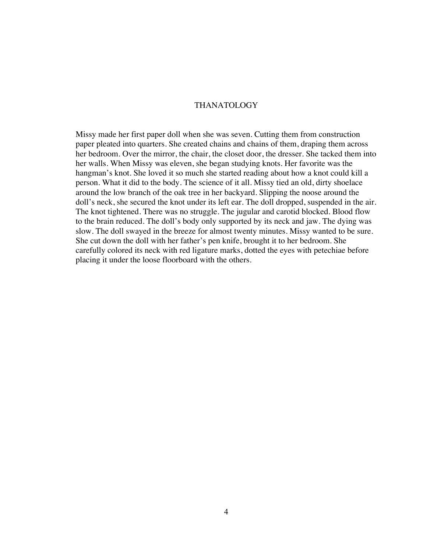### THANATOLOGY

Missy made her first paper doll when she was seven. Cutting them from construction paper pleated into quarters. She created chains and chains of them, draping them across her bedroom. Over the mirror, the chair, the closet door, the dresser. She tacked them into her walls. When Missy was eleven, she began studying knots. Her favorite was the hangman's knot. She loved it so much she started reading about how a knot could kill a person. What it did to the body. The science of it all. Missy tied an old, dirty shoelace around the low branch of the oak tree in her backyard. Slipping the noose around the doll's neck, she secured the knot under its left ear. The doll dropped, suspended in the air. The knot tightened. There was no struggle. The jugular and carotid blocked. Blood flow to the brain reduced. The doll's body only supported by its neck and jaw. The dying was slow. The doll swayed in the breeze for almost twenty minutes. Missy wanted to be sure. She cut down the doll with her father's pen knife, brought it to her bedroom. She carefully colored its neck with red ligature marks, dotted the eyes with petechiae before placing it under the loose floorboard with the others.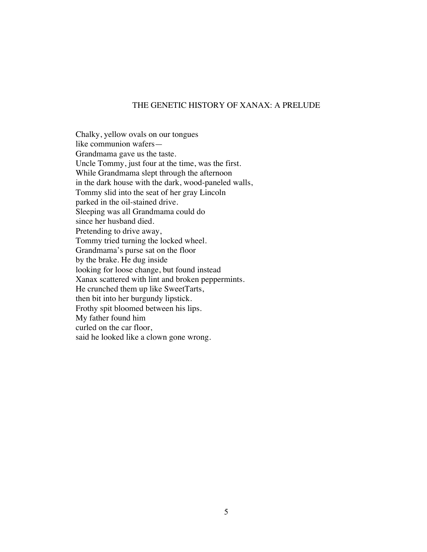#### THE GENETIC HISTORY OF XANAX: A PRELUDE

Chalky, yellow ovals on our tongues like communion wafers— Grandmama gave us the taste. Uncle Tommy, just four at the time, was the first. While Grandmama slept through the afternoon in the dark house with the dark, wood-paneled walls, Tommy slid into the seat of her gray Lincoln parked in the oil-stained drive. Sleeping was all Grandmama could do since her husband died. Pretending to drive away, Tommy tried turning the locked wheel. Grandmama's purse sat on the floor by the brake. He dug inside looking for loose change, but found instead Xanax scattered with lint and broken peppermints. He crunched them up like SweetTarts, then bit into her burgundy lipstick. Frothy spit bloomed between his lips. My father found him curled on the car floor, said he looked like a clown gone wrong.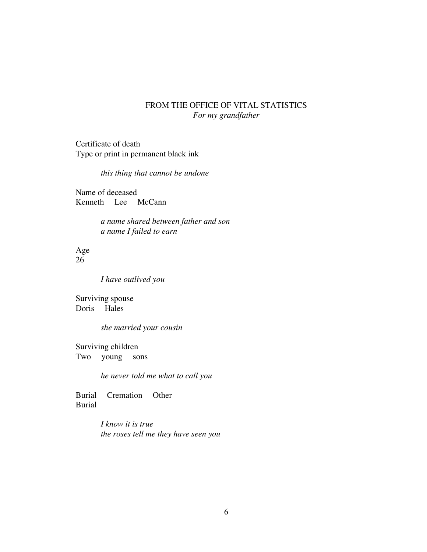## FROM THE OFFICE OF VITAL STATISTICS *For my grandfather*

Certificate of death Type or print in permanent black ink

*this thing that cannot be undone*

Name of deceased Kenneth Lee McCann

> *a name shared between father and son a name I failed to earn*

Age 26

*I have outlived you* 

Surviving spouse Doris Hales

*she married your cousin*

Surviving children Two young sons

*he never told me what to call you*

Burial Cremation Other Burial

> *I know it is true the roses tell me they have seen you*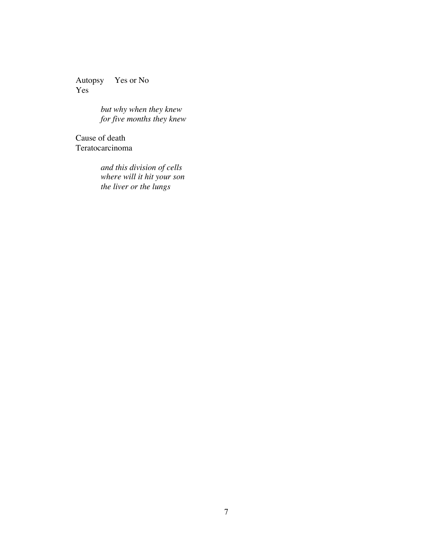Autopsy Yes or No Yes

> *but why when they knew for five months they knew*

Cause of death Teratocarcinoma

> *and this division of cells where will it hit your son the liver or the lungs*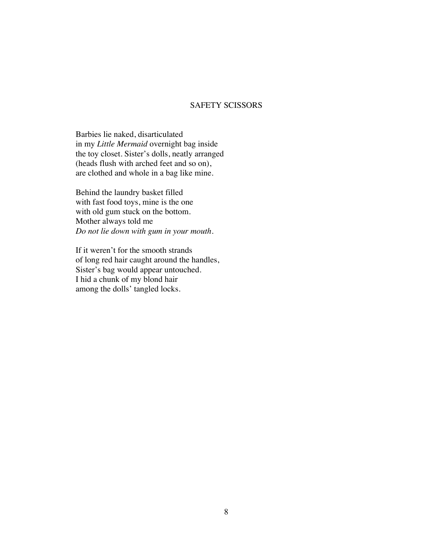### SAFETY SCISSORS

Barbies lie naked, disarticulated in my *Little Mermaid* overnight bag inside the toy closet. Sister's dolls, neatly arranged (heads flush with arched feet and so on), are clothed and whole in a bag like mine.

Behind the laundry basket filled with fast food toys, mine is the one with old gum stuck on the bottom. Mother always told me *Do not lie down with gum in your mouth.* 

If it weren't for the smooth strands of long red hair caught around the handles, Sister's bag would appear untouched. I hid a chunk of my blond hair among the dolls' tangled locks.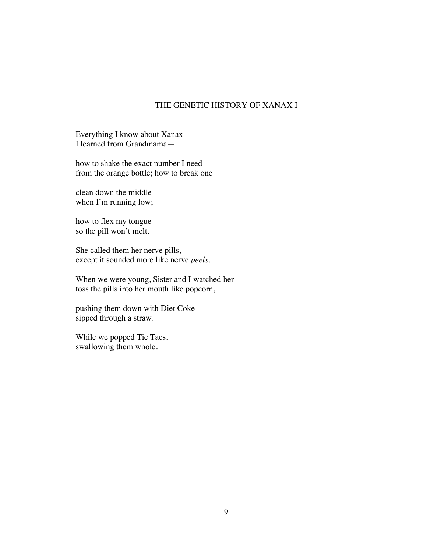## THE GENETIC HISTORY OF XANAX I

Everything I know about Xanax I learned from Grandmama—

how to shake the exact number I need from the orange bottle; how to break one

clean down the middle when I'm running low;

how to flex my tongue so the pill won't melt.

She called them her nerve pills, except it sounded more like nerve *peels.* 

When we were young, Sister and I watched her toss the pills into her mouth like popcorn,

pushing them down with Diet Coke sipped through a straw.

While we popped Tic Tacs, swallowing them whole.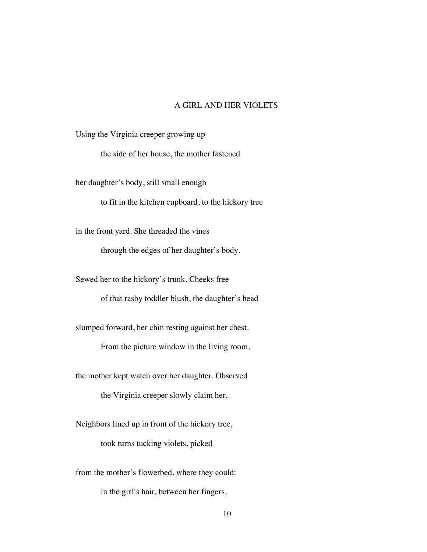### A GIRL AND HER VIOLETS

Using the Virginia creeper growing up

the side of her house, the mother fastened

her daughter's body, still small enough

to fit in the kitchen cupboard, to the hickory tree

in the front yard. She threaded the vines

through the edges of her daughter's body.

Sewed her to the hickory's trunk. Cheeks free

of that rashy toddler blush, the daughter's head

slumped forward, her chin resting against her chest.

From the picture window in the living room,

the mother kept watch over her daughter. Observed

the Virginia creeper slowly claim her.

Neighbors lined up in front of the hickory tree,

took turns tucking violets, picked

from the mother's flowerbed, where they could:

in the girl's hair, between her fingers,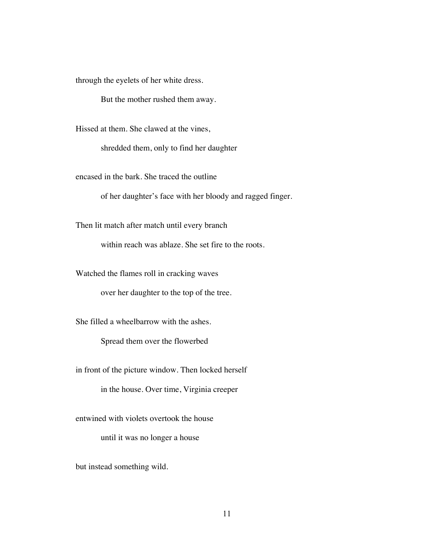through the eyelets of her white dress.

But the mother rushed them away.

Hissed at them. She clawed at the vines,

shredded them, only to find her daughter

encased in the bark. She traced the outline

of her daughter's face with her bloody and ragged finger.

Then lit match after match until every branch

within reach was ablaze. She set fire to the roots.

Watched the flames roll in cracking waves

over her daughter to the top of the tree.

She filled a wheelbarrow with the ashes.

Spread them over the flowerbed

in front of the picture window. Then locked herself

in the house. Over time, Virginia creeper

entwined with violets overtook the house

until it was no longer a house

but instead something wild.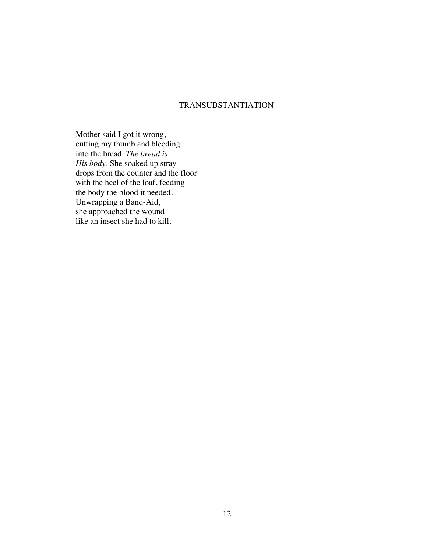## TRANSUBSTANTIATION

Mother said I got it wrong, cutting my thumb and bleeding into the bread. *The bread is His body.* She soaked up stray drops from the counter and the floor with the heel of the loaf, feeding the body the blood it needed. Unwrapping a Band-Aid, she approached the wound like an insect she had to kill.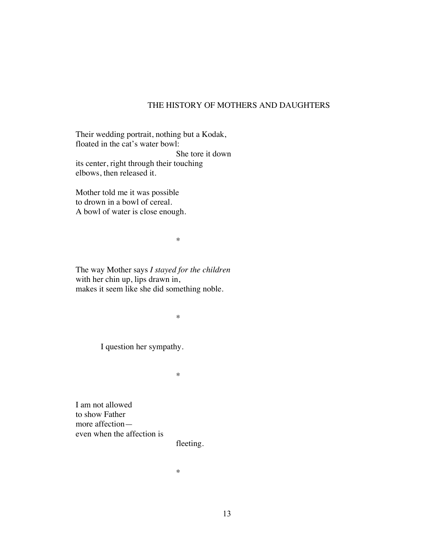### THE HISTORY OF MOTHERS AND DAUGHTERS

Their wedding portrait, nothing but a Kodak, floated in the cat's water bowl: She tore it down its center, right through their touching elbows, then released it.

Mother told me it was possible to drown in a bowl of cereal. A bowl of water is close enough.

\*

The way Mother says *I stayed for the children* with her chin up, lips drawn in, makes it seem like she did something noble.

\*

I question her sympathy.

\*

I am not allowed to show Father more affection even when the affection is

fleeting.

\*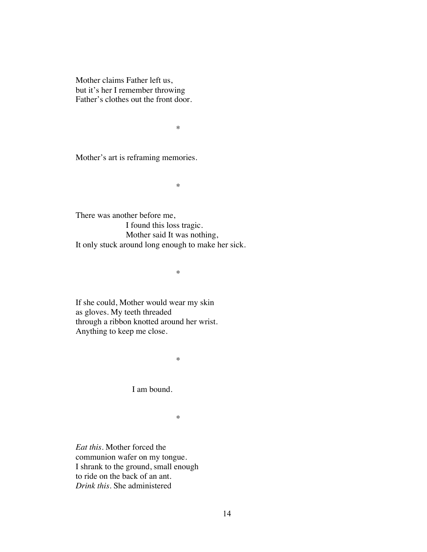Mother claims Father left us, but it's her I remember throwing Father's clothes out the front door.

\*

Mother's art is reframing memories.

\*

There was another before me, I found this loss tragic. Mother said It was nothing, It only stuck around long enough to make her sick.

\*

If she could, Mother would wear my skin as gloves. My teeth threaded through a ribbon knotted around her wrist. Anything to keep me close.

\*

I am bound.

\*

*Eat this.* Mother forced the communion wafer on my tongue. I shrank to the ground, small enough to ride on the back of an ant. *Drink this.* She administered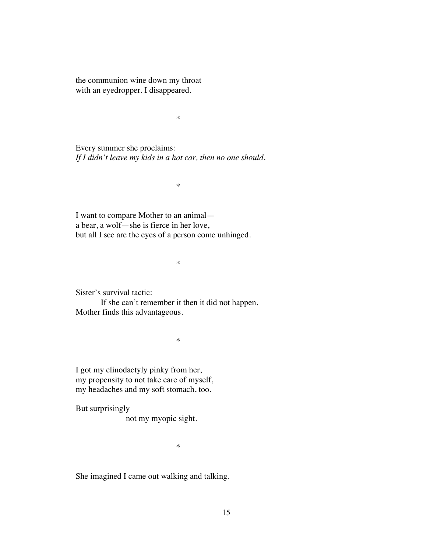the communion wine down my throat with an eyedropper. I disappeared.

\*

Every summer she proclaims: *If I didn't leave my kids in a hot car, then no one should.* 

\*

I want to compare Mother to an animal a bear, a wolf—she is fierce in her love, but all I see are the eyes of a person come unhinged.

\*

Sister's survival tactic:

If she can't remember it then it did not happen. Mother finds this advantageous.

\*

I got my clinodactyly pinky from her, my propensity to not take care of myself, my headaches and my soft stomach, too.

But surprisingly

not my myopic sight.

\*

She imagined I came out walking and talking.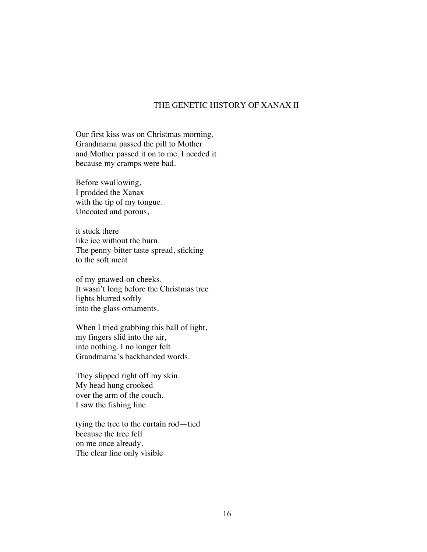### THE GENETIC HISTORY OF XANAX II

Our first kiss was on Christmas morning. Grandmama passed the pill to Mother and Mother passed it on to me. I needed it because my cramps were bad.

Before swallowing, I prodded the Xanax with the tip of my tongue. Uncoated and porous,

it stuck there like ice without the burn. The penny-bitter taste spread, sticking to the soft meat

of my gnawed-on cheeks. It wasn't long before the Christmas tree lights blurred softly into the glass ornaments.

When I tried grabbing this ball of light, my fingers slid into the air, into nothing. I no longer felt Grandmama's backhanded words.

They slipped right off my skin. My head hung crooked over the arm of the couch. I saw the fishing line

tying the tree to the curtain rod—tied because the tree fell on me once already. The clear line only visible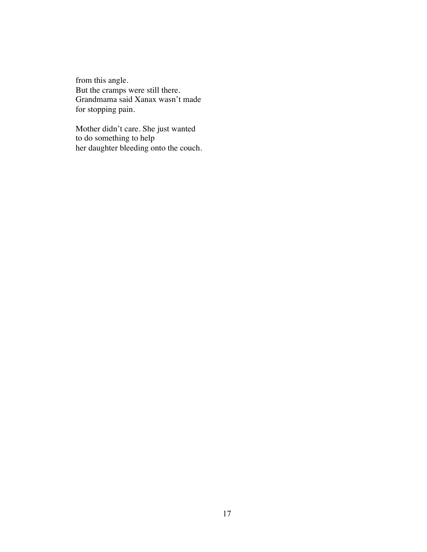from this angle. But the cramps were still there. Grandmama said Xanax wasn't made for stopping pain.

Mother didn't care. She just wanted to do something to help her daughter bleeding onto the couch.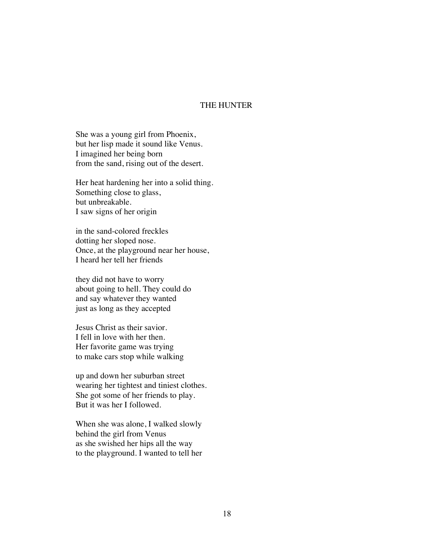### THE HUNTER

She was a young girl from Phoenix, but her lisp made it sound like Venus. I imagined her being born from the sand, rising out of the desert.

Her heat hardening her into a solid thing. Something close to glass, but unbreakable. I saw signs of her origin

in the sand-colored freckles dotting her sloped nose. Once, at the playground near her house, I heard her tell her friends

they did not have to worry about going to hell. They could do and say whatever they wanted just as long as they accepted

Jesus Christ as their savior. I fell in love with her then. Her favorite game was trying to make cars stop while walking

up and down her suburban street wearing her tightest and tiniest clothes. She got some of her friends to play. But it was her I followed.

When she was alone, I walked slowly behind the girl from Venus as she swished her hips all the way to the playground. I wanted to tell her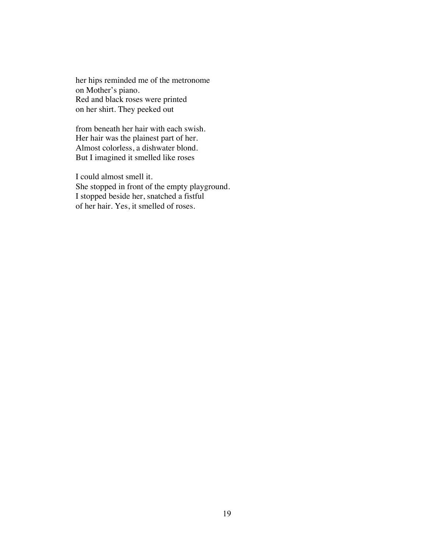her hips reminded me of the metronome on Mother's piano. Red and black roses were printed on her shirt. They peeked out

from beneath her hair with each swish. Her hair was the plainest part of her. Almost colorless, a dishwater blond. But I imagined it smelled like roses

I could almost smell it. She stopped in front of the empty playground. I stopped beside her, snatched a fistful of her hair. Yes, it smelled of roses.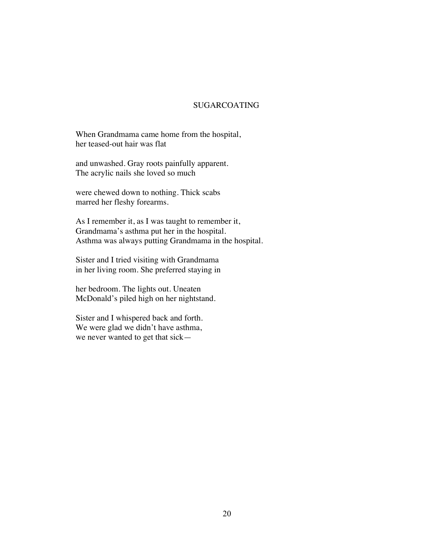## SUGARCOATING

When Grandmama came home from the hospital, her teased-out hair was flat

and unwashed. Gray roots painfully apparent. The acrylic nails she loved so much

were chewed down to nothing. Thick scabs marred her fleshy forearms.

As I remember it, as I was taught to remember it, Grandmama's asthma put her in the hospital. Asthma was always putting Grandmama in the hospital.

Sister and I tried visiting with Grandmama in her living room. She preferred staying in

her bedroom. The lights out. Uneaten McDonald's piled high on her nightstand.

Sister and I whispered back and forth. We were glad we didn't have asthma, we never wanted to get that sick—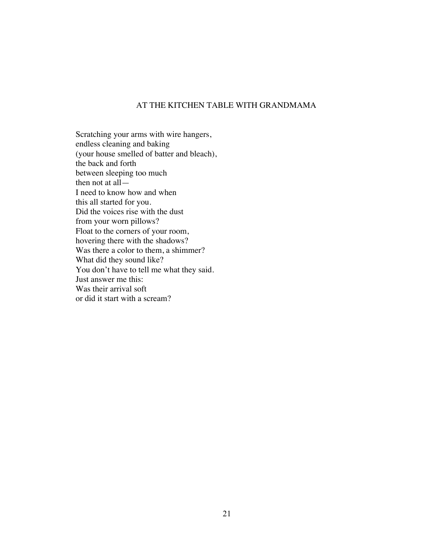## AT THE KITCHEN TABLE WITH GRANDMAMA

Scratching your arms with wire hangers, endless cleaning and baking (your house smelled of batter and bleach), the back and forth between sleeping too much then not at all— I need to know how and when this all started for you. Did the voices rise with the dust from your worn pillows? Float to the corners of your room, hovering there with the shadows? Was there a color to them, a shimmer? What did they sound like? You don't have to tell me what they said. Just answer me this: Was their arrival soft or did it start with a scream?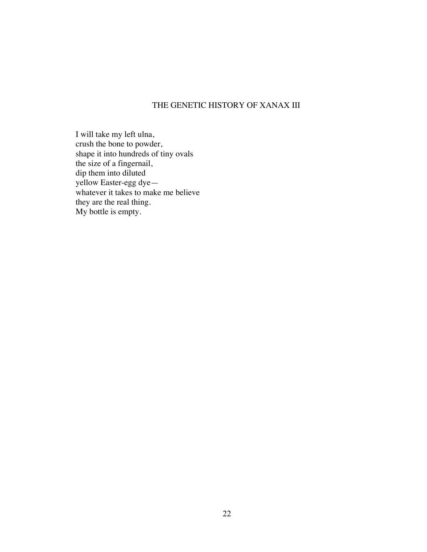## THE GENETIC HISTORY OF XANAX III

I will take my left ulna, crush the bone to powder, shape it into hundreds of tiny ovals the size of a fingernail, dip them into diluted yellow Easter-egg dye whatever it takes to make me believe they are the real thing. My bottle is empty.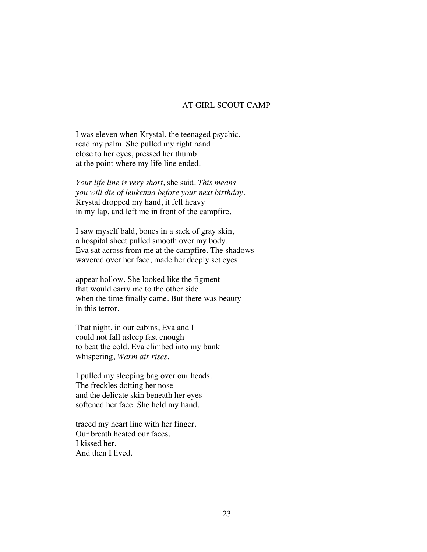### AT GIRL SCOUT CAMP

I was eleven when Krystal, the teenaged psychic, read my palm. She pulled my right hand close to her eyes, pressed her thumb at the point where my life line ended.

*Your life line is very short*, she said. *This means you will die of leukemia before your next birthday.*  Krystal dropped my hand, it fell heavy in my lap, and left me in front of the campfire.

I saw myself bald, bones in a sack of gray skin, a hospital sheet pulled smooth over my body. Eva sat across from me at the campfire. The shadows wavered over her face, made her deeply set eyes

appear hollow. She looked like the figment that would carry me to the other side when the time finally came. But there was beauty in this terror.

That night, in our cabins, Eva and I could not fall asleep fast enough to beat the cold. Eva climbed into my bunk whispering, *Warm air rises*.

I pulled my sleeping bag over our heads. The freckles dotting her nose and the delicate skin beneath her eyes softened her face. She held my hand,

traced my heart line with her finger. Our breath heated our faces. I kissed her. And then I lived.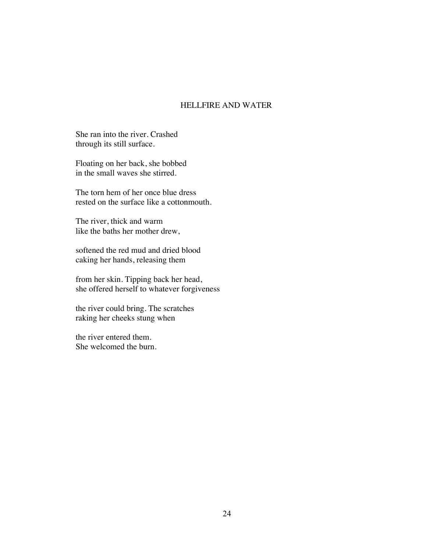## HELLFIRE AND WATER

She ran into the river. Crashed through its still surface.

Floating on her back, she bobbed in the small waves she stirred.

The torn hem of her once blue dress rested on the surface like a cottonmouth.

The river, thick and warm like the baths her mother drew,

softened the red mud and dried blood caking her hands, releasing them

from her skin. Tipping back her head, she offered herself to whatever forgiveness

the river could bring. The scratches raking her cheeks stung when

the river entered them. She welcomed the burn.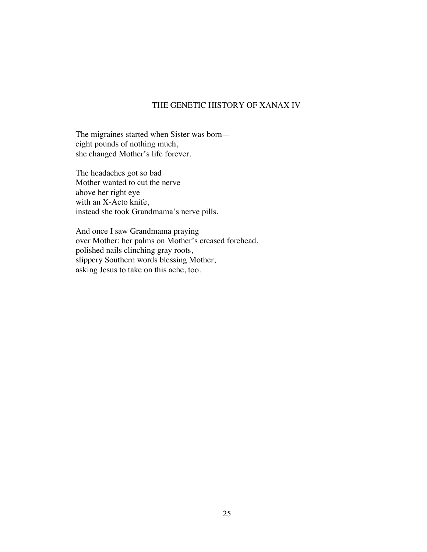## THE GENETIC HISTORY OF XANAX IV

The migraines started when Sister was born eight pounds of nothing much, she changed Mother's life forever.

The headaches got so bad Mother wanted to cut the nerve above her right eye with an X-Acto knife, instead she took Grandmama's nerve pills.

And once I saw Grandmama praying over Mother: her palms on Mother's creased forehead, polished nails clinching gray roots, slippery Southern words blessing Mother, asking Jesus to take on this ache, too.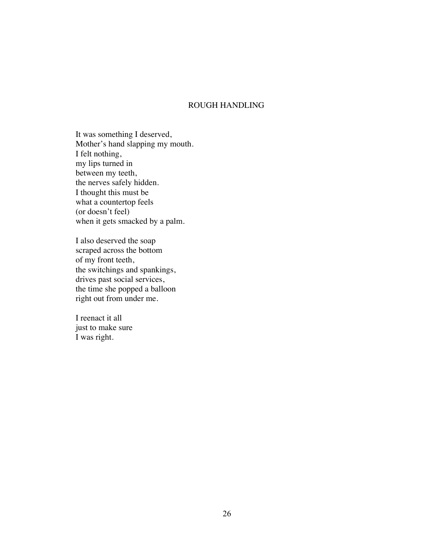## ROUGH HANDLING

It was something I deserved, Mother's hand slapping my mouth. I felt nothing, my lips turned in between my teeth, the nerves safely hidden. I thought this must be what a countertop feels (or doesn't feel) when it gets smacked by a palm.

I also deserved the soap scraped across the bottom of my front teeth, the switchings and spankings, drives past social services, the time she popped a balloon right out from under me.

I reenact it all just to make sure I was right.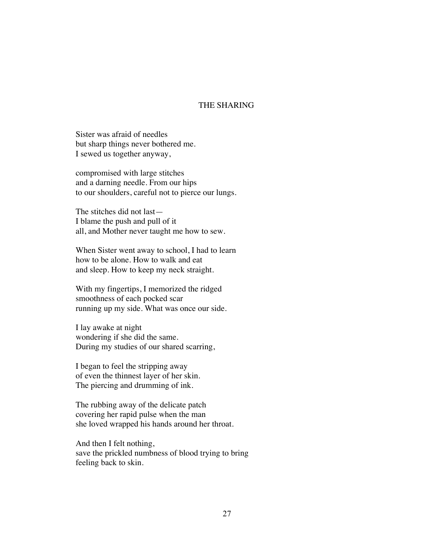### THE SHARING

Sister was afraid of needles but sharp things never bothered me. I sewed us together anyway,

compromised with large stitches and a darning needle. From our hips to our shoulders, careful not to pierce our lungs.

The stitches did not last— I blame the push and pull of it all, and Mother never taught me how to sew.

When Sister went away to school, I had to learn how to be alone. How to walk and eat and sleep. How to keep my neck straight.

With my fingertips, I memorized the ridged smoothness of each pocked scar running up my side. What was once our side.

I lay awake at night wondering if she did the same. During my studies of our shared scarring,

I began to feel the stripping away of even the thinnest layer of her skin. The piercing and drumming of ink.

The rubbing away of the delicate patch covering her rapid pulse when the man she loved wrapped his hands around her throat.

And then I felt nothing, save the prickled numbness of blood trying to bring feeling back to skin.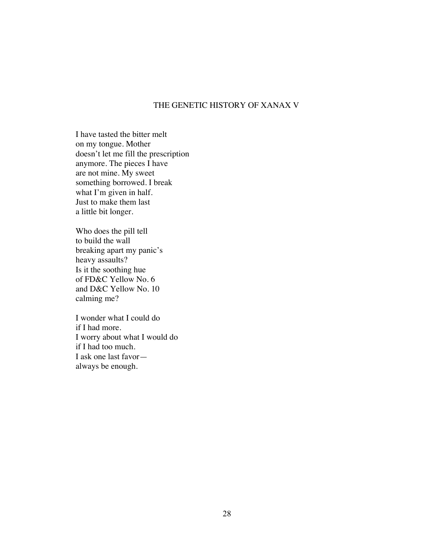## THE GENETIC HISTORY OF XANAX V

I have tasted the bitter melt on my tongue. Mother doesn't let me fill the prescription anymore. The pieces I have are not mine. My sweet something borrowed. I break what I'm given in half. Just to make them last a little bit longer.

Who does the pill tell to build the wall breaking apart my panic's heavy assaults? Is it the soothing hue of FD&C Yellow No. 6 and D&C Yellow No. 10 calming me?

I wonder what I could do if I had more. I worry about what I would do if I had too much. I ask one last favor always be enough.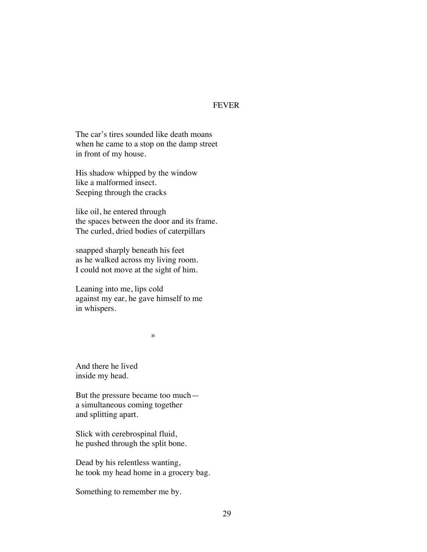### FEVER

The car's tires sounded like death moans when he came to a stop on the damp street in front of my house.

His shadow whipped by the window like a malformed insect. Seeping through the cracks

like oil, he entered through the spaces between the door and its frame. The curled, dried bodies of caterpillars

snapped sharply beneath his feet as he walked across my living room. I could not move at the sight of him.

Leaning into me, lips cold against my ear, he gave himself to me in whispers.

\*

And there he lived inside my head.

But the pressure became too much a simultaneous coming together and splitting apart.

Slick with cerebrospinal fluid, he pushed through the split bone.

Dead by his relentless wanting, he took my head home in a grocery bag.

Something to remember me by.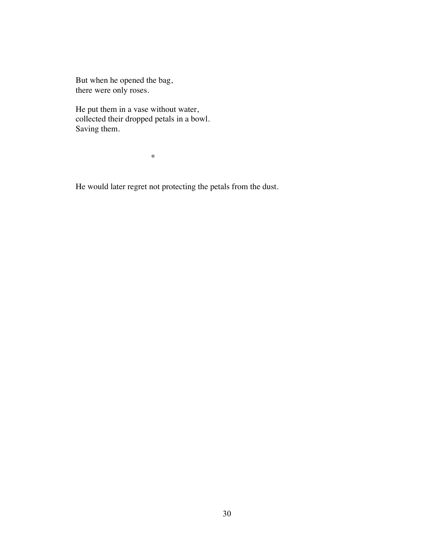But when he opened the bag, there were only roses.

He put them in a vase without water, collected their dropped petals in a bowl. Saving them.

\*

He would later regret not protecting the petals from the dust.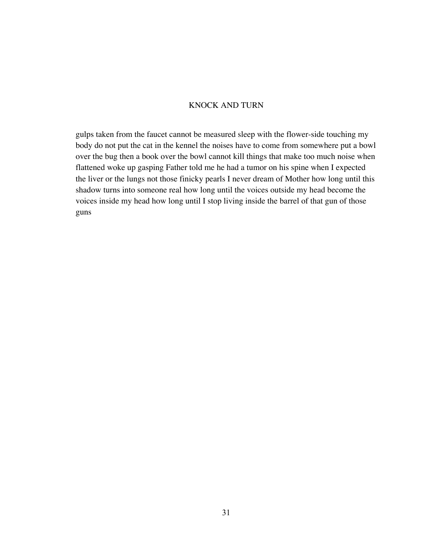## KNOCK AND TURN

gulps taken from the faucet cannot be measured sleep with the flower-side touching my body do not put the cat in the kennel the noises have to come from somewhere put a bowl over the bug then a book over the bowl cannot kill things that make too much noise when flattened woke up gasping Father told me he had a tumor on his spine when I expected the liver or the lungs not those finicky pearls I never dream of Mother how long until this shadow turns into someone real how long until the voices outside my head become the voices inside my head how long until I stop living inside the barrel of that gun of those guns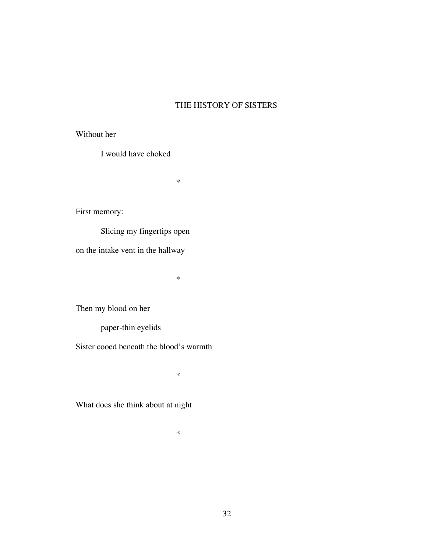# THE HISTORY OF SISTERS

Without her

I would have choked

\*

First memory:

Slicing my fingertips open

on the intake vent in the hallway

\*

Then my blood on her

paper-thin eyelids

Sister cooed beneath the blood's warmth

\*

What does she think about at night

\*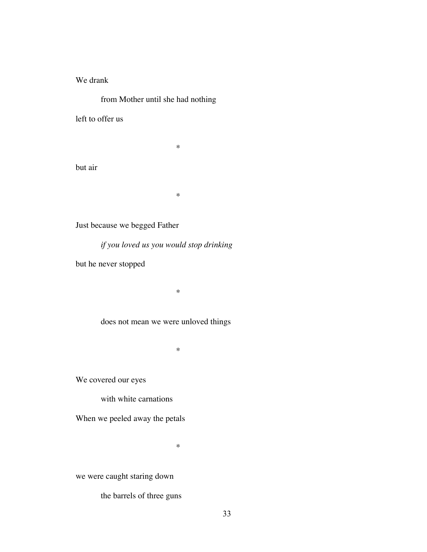## We drank

from Mother until she had nothing

left to offer us

but air

\*

\*

Just because we begged Father

*if you loved us you would stop drinking*

but he never stopped

does not mean we were unloved things

\*

\*

We covered our eyes

with white carnations

When we peeled away the petals

\*

we were caught staring down

the barrels of three guns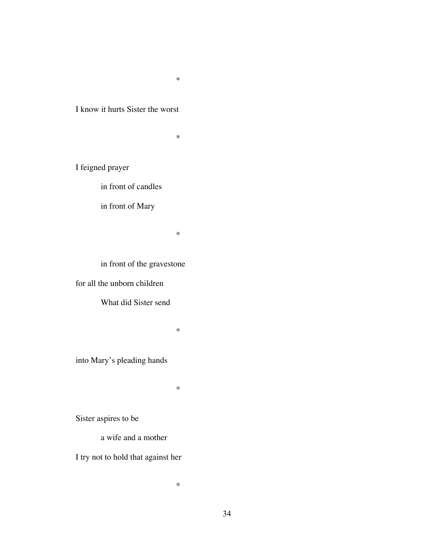\*

# I know it hurts Sister the worst

\*

I feigned prayer

in front of candles

in front of Mary

\*

in front of the gravestone

for all the unborn children

What did Sister send

\*

into Mary's pleading hands

\*

\*

Sister aspires to be

a wife and a mother

I try not to hold that against her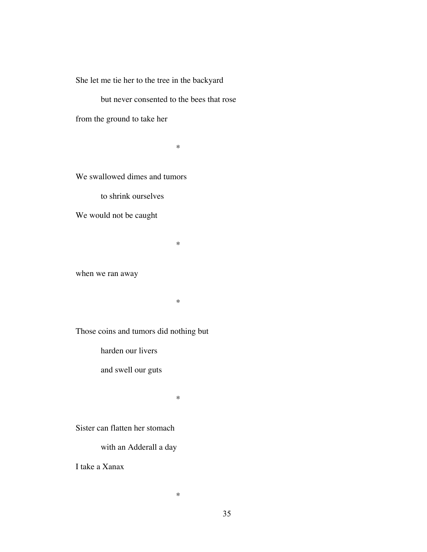She let me tie her to the tree in the backyard

but never consented to the bees that rose

from the ground to take her

\*

We swallowed dimes and tumors

to shrink ourselves

We would not be caught

when we ran away

\*

\*

Those coins and tumors did nothing but

harden our livers

and swell our guts

\*

\*

Sister can flatten her stomach

with an Adderall a day

I take a Xanax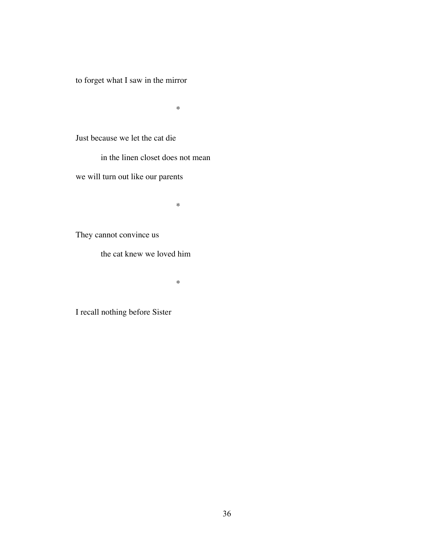to forget what I saw in the mirror

\*

Just because we let the cat die

in the linen closet does not mean

we will turn out like our parents

\*

They cannot convince us

the cat knew we loved him

\*

I recall nothing before Sister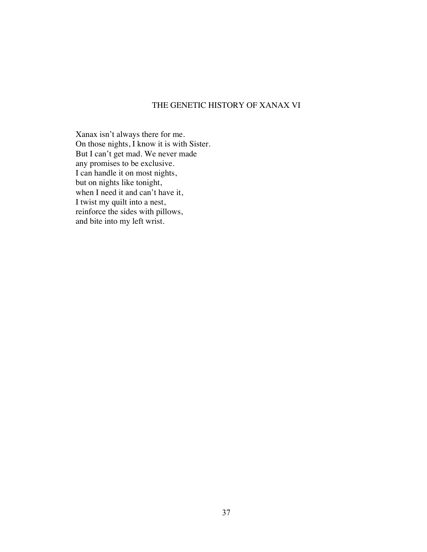## THE GENETIC HISTORY OF XANAX VI

Xanax isn't always there for me. On those nights, I know it is with Sister. But I can't get mad. We never made any promises to be exclusive. I can handle it on most nights, but on nights like tonight, when I need it and can't have it, I twist my quilt into a nest, reinforce the sides with pillows, and bite into my left wrist.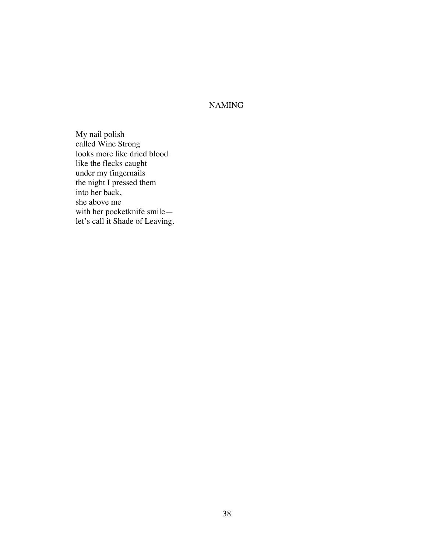NAMING

My nail polish called Wine Strong looks more like dried blood like the flecks caught under my fingernails the night I pressed them into her back, she above me with her pocketknife smile let's call it Shade of Leaving.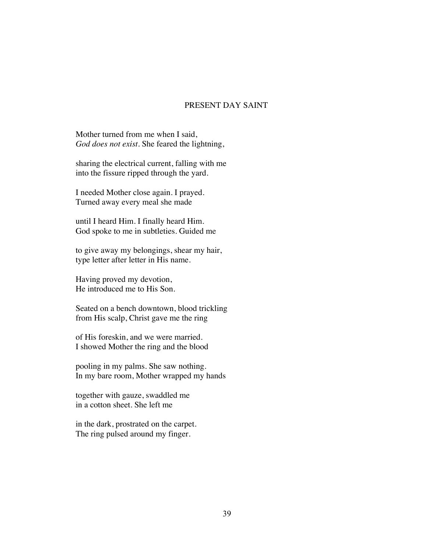### PRESENT DAY SAINT

Mother turned from me when I said, *God does not exist.* She feared the lightning,

sharing the electrical current, falling with me into the fissure ripped through the yard.

I needed Mother close again. I prayed. Turned away every meal she made

until I heard Him. I finally heard Him. God spoke to me in subtleties. Guided me

to give away my belongings, shear my hair, type letter after letter in His name.

Having proved my devotion, He introduced me to His Son.

Seated on a bench downtown, blood trickling from His scalp, Christ gave me the ring

of His foreskin, and we were married. I showed Mother the ring and the blood

pooling in my palms. She saw nothing. In my bare room, Mother wrapped my hands

together with gauze, swaddled me in a cotton sheet. She left me

in the dark, prostrated on the carpet. The ring pulsed around my finger.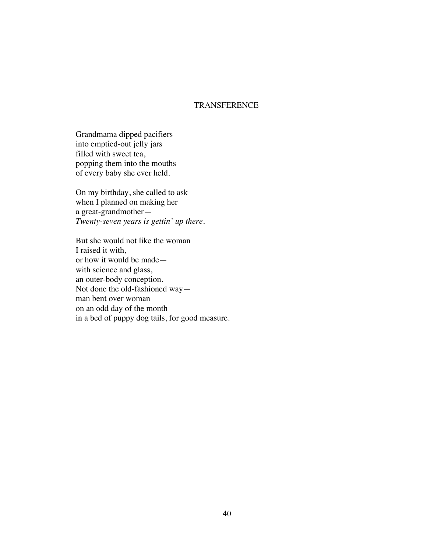## **TRANSFERENCE**

Grandmama dipped pacifiers into emptied-out jelly jars filled with sweet tea, popping them into the mouths of every baby she ever held.

On my birthday, she called to ask when I planned on making her a great-grandmother— *Twenty-seven years is gettin' up there.* 

But she would not like the woman I raised it with, or how it would be made with science and glass, an outer-body conception. Not done the old-fashioned way man bent over woman on an odd day of the month in a bed of puppy dog tails, for good measure.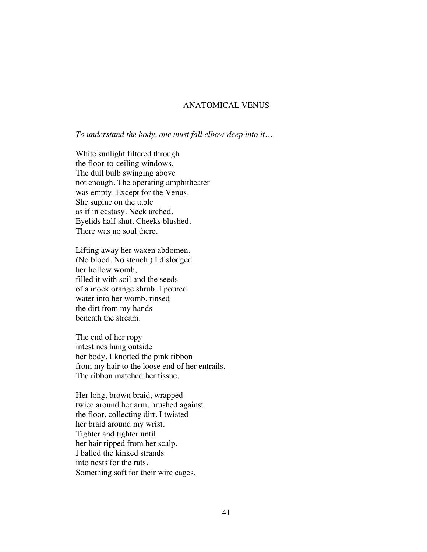### ANATOMICAL VENUS

*To understand the body, one must fall elbow-deep into it…*

White sunlight filtered through the floor-to-ceiling windows. The dull bulb swinging above not enough. The operating amphitheater was empty. Except for the Venus. She supine on the table as if in ecstasy. Neck arched. Eyelids half shut. Cheeks blushed. There was no soul there.

Lifting away her waxen abdomen, (No blood. No stench.) I dislodged her hollow womb, filled it with soil and the seeds of a mock orange shrub. I poured water into her womb, rinsed the dirt from my hands beneath the stream.

The end of her ropy intestines hung outside her body. I knotted the pink ribbon from my hair to the loose end of her entrails. The ribbon matched her tissue.

Her long, brown braid, wrapped twice around her arm, brushed against the floor, collecting dirt. I twisted her braid around my wrist. Tighter and tighter until her hair ripped from her scalp. I balled the kinked strands into nests for the rats. Something soft for their wire cages.